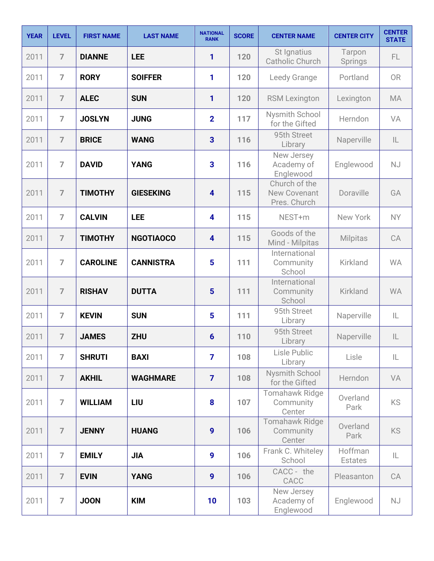| <b>YEAR</b> | <b>LEVEL</b>   | <b>FIRST NAME</b> | <b>LAST NAME</b> | <b>NATIONAL</b><br><b>RANK</b> | <b>SCORE</b> | <b>CENTER NAME</b>                                   | <b>CENTER CITY</b>        | <b>CENTER</b><br><b>STATE</b> |
|-------------|----------------|-------------------|------------------|--------------------------------|--------------|------------------------------------------------------|---------------------------|-------------------------------|
| 2011        | $\overline{7}$ | <b>DIANNE</b>     | <b>LEE</b>       | 1                              | 120          | St Ignatius<br><b>Catholic Church</b>                | Tarpon<br>Springs         | FL.                           |
| 2011        | $\overline{7}$ | <b>RORY</b>       | <b>SOIFFER</b>   | 1                              | 120          | Leedy Grange                                         | Portland                  | <b>OR</b>                     |
| 2011        | $\overline{7}$ | <b>ALEC</b>       | <b>SUN</b>       | 1                              | 120          | <b>RSM Lexington</b>                                 | Lexington                 | <b>MA</b>                     |
| 2011        | $\overline{7}$ | <b>JOSLYN</b>     | <b>JUNG</b>      | $\overline{2}$                 | 117          | Nysmith School<br>for the Gifted                     | Herndon                   | VA                            |
| 2011        | $\overline{7}$ | <b>BRICE</b>      | <b>WANG</b>      | $\overline{3}$                 | 116          | 95th Street<br>Library                               | Naperville                | $\mathsf{IL}$                 |
| 2011        | $\overline{7}$ | <b>DAVID</b>      | <b>YANG</b>      | 3                              | 116          | New Jersey<br>Academy of<br>Englewood                | Englewood                 | <b>NJ</b>                     |
| 2011        | $\overline{7}$ | <b>TIMOTHY</b>    | <b>GIESEKING</b> | $\overline{\mathbf{4}}$        | 115          | Church of the<br><b>New Covenant</b><br>Pres. Church | Doraville                 | GA                            |
| 2011        | $\overline{7}$ | <b>CALVIN</b>     | <b>LEE</b>       | $\overline{\mathbf{4}}$        | 115          | NEST+m                                               | New York                  | <b>NY</b>                     |
| 2011        | $\overline{7}$ | <b>TIMOTHY</b>    | <b>NGOTIAOCO</b> | $\overline{\mathbf{4}}$        | 115          | Goods of the<br>Mind - Milpitas                      | <b>Milpitas</b>           | CA                            |
| 2011        | $\overline{7}$ | <b>CAROLINE</b>   | <b>CANNISTRA</b> | $5\phantom{1}$                 | 111          | International<br>Community<br>School                 | Kirkland                  | <b>WA</b>                     |
| 2011        | $\overline{7}$ | <b>RISHAV</b>     | <b>DUTTA</b>     | $5\phantom{1}$                 | 111          | International<br>Community<br>School                 | Kirkland                  | <b>WA</b>                     |
| 2011        | $\overline{7}$ | <b>KEVIN</b>      | <b>SUN</b>       | 5                              | 111          | 95th Street<br>Library                               | Naperville                | IL                            |
| 2011        | $\overline{7}$ | <b>JAMES</b>      | <b>ZHU</b>       | $6\phantom{1}6$                | 110          | 95th Street<br>Library                               | Naperville                | $\mathsf{IL}$                 |
| 2011        | $\overline{7}$ | <b>SHRUTI</b>     | <b>BAXI</b>      | $\overline{7}$                 | 108          | Lisle Public<br>Library                              | Lisle                     | IL.                           |
| 2011        | $\overline{7}$ | <b>AKHIL</b>      | <b>WAGHMARE</b>  | $\overline{7}$                 | 108          | Nysmith School<br>for the Gifted                     | Herndon                   | VA                            |
| 2011        | $\overline{7}$ | <b>WILLIAM</b>    | LIU              | 8                              | 107          | Tomahawk Ridge<br>Community<br>Center                | Overland<br>Park          | <b>KS</b>                     |
| 2011        | $\overline{7}$ | <b>JENNY</b>      | <b>HUANG</b>     | 9                              | 106          | Tomahawk Ridge<br>Community<br>Center                | Overland<br>Park          | <b>KS</b>                     |
| 2011        | $\overline{7}$ | <b>EMILY</b>      | <b>JIA</b>       | 9                              | 106          | Frank C. Whiteley<br>School                          | Hoffman<br><b>Estates</b> | IL                            |
| 2011        | $\overline{7}$ | <b>EVIN</b>       | <b>YANG</b>      | $\boldsymbol{9}$               | 106          | CACC - the<br>CACC                                   | Pleasanton                | CA                            |
| 2011        | $\overline{7}$ | <b>JOON</b>       | <b>KIM</b>       | 10                             | 103          | New Jersey<br>Academy of<br>Englewood                | Englewood                 | <b>NJ</b>                     |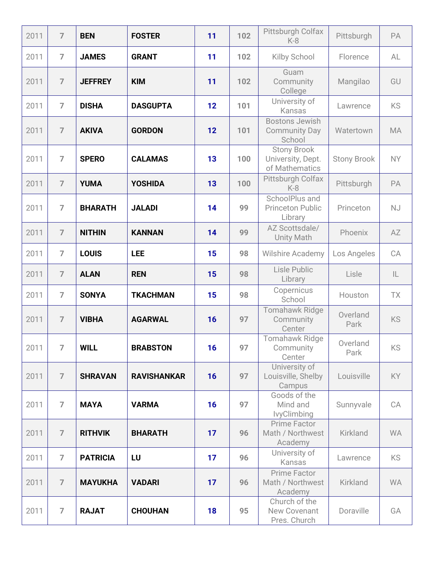| 2011 | $\overline{7}$ | <b>BEN</b>      | <b>FOSTER</b>      | 11 | 102 | Pittsburgh Colfax<br>$K-8$                                | Pittsburgh         | PA        |
|------|----------------|-----------------|--------------------|----|-----|-----------------------------------------------------------|--------------------|-----------|
| 2011 | $\overline{7}$ | <b>JAMES</b>    | <b>GRANT</b>       | 11 | 102 | Kilby School                                              | Florence           | AL        |
| 2011 | $\overline{7}$ | <b>JEFFREY</b>  | <b>KIM</b>         | 11 | 102 | Guam<br>Community<br>College                              | Mangilao           | GU        |
| 2011 | $\overline{7}$ | <b>DISHA</b>    | <b>DASGUPTA</b>    | 12 | 101 | University of<br>Kansas                                   | Lawrence           | KS        |
| 2011 | $\overline{7}$ | <b>AKIVA</b>    | <b>GORDON</b>      | 12 | 101 | <b>Bostons Jewish</b><br><b>Community Day</b><br>School   | Watertown          | <b>MA</b> |
| 2011 | $\overline{7}$ | <b>SPERO</b>    | <b>CALAMAS</b>     | 13 | 100 | <b>Stony Brook</b><br>University, Dept.<br>of Mathematics | <b>Stony Brook</b> | <b>NY</b> |
| 2011 | $\overline{7}$ | <b>YUMA</b>     | <b>YOSHIDA</b>     | 13 | 100 | Pittsburgh Colfax<br>$K-8$                                | Pittsburgh         | PA        |
| 2011 | $\overline{7}$ | <b>BHARATH</b>  | <b>JALADI</b>      | 14 | 99  | SchoolPlus and<br><b>Princeton Public</b><br>Library      | Princeton          | <b>NJ</b> |
| 2011 | $\overline{7}$ | <b>NITHIN</b>   | <b>KANNAN</b>      | 14 | 99  | AZ Scottsdale/<br><b>Unity Math</b>                       | Phoenix            | AZ        |
| 2011 | $\overline{7}$ | <b>LOUIS</b>    | <b>LEE</b>         | 15 | 98  | <b>Wilshire Academy</b>                                   | Los Angeles        | CA        |
| 2011 | $\overline{7}$ | <b>ALAN</b>     | <b>REN</b>         | 15 | 98  | Lisle Public<br>Library                                   | Lisle              | IL        |
| 2011 | $\overline{7}$ | <b>SONYA</b>    | <b>TKACHMAN</b>    | 15 | 98  | Copernicus<br>School                                      | Houston            | TX        |
| 2011 | $\overline{7}$ | <b>VIBHA</b>    | <b>AGARWAL</b>     | 16 | 97  | <b>Tomahawk Ridge</b><br>Community<br>Center              | Overland<br>Park   | <b>KS</b> |
| 2011 | $\overline{7}$ | <b>WILL</b>     | <b>BRABSTON</b>    | 16 | 97  | <b>Tomahawk Ridge</b><br>Community<br>Center              | Overland<br>Park   | KS        |
| 2011 | $\overline{7}$ | <b>SHRAVAN</b>  | <b>RAVISHANKAR</b> | 16 | 97  | University of<br>Louisville, Shelby<br>Campus             | Louisville         | KY        |
| 2011 | $\overline{7}$ | <b>MAYA</b>     | <b>VARMA</b>       | 16 | 97  | Goods of the<br>Mind and<br><b>lvyClimbing</b>            | Sunnyvale          | CA        |
| 2011 | $\overline{7}$ | <b>RITHVIK</b>  | <b>BHARATH</b>     | 17 | 96  | <b>Prime Factor</b><br>Math / Northwest<br>Academy        | Kirkland           | <b>WA</b> |
| 2011 | $\overline{7}$ | <b>PATRICIA</b> | LU                 | 17 | 96  | University of<br>Kansas                                   | Lawrence           | <b>KS</b> |
| 2011 | $\overline{7}$ | <b>MAYUKHA</b>  | <b>VADARI</b>      | 17 | 96  | <b>Prime Factor</b><br>Math / Northwest<br>Academy        | Kirkland           | <b>WA</b> |
| 2011 | $\overline{7}$ | <b>RAJAT</b>    | <b>CHOUHAN</b>     | 18 | 95  | Church of the<br>New Covenant<br>Pres. Church             | Doraville          | GA        |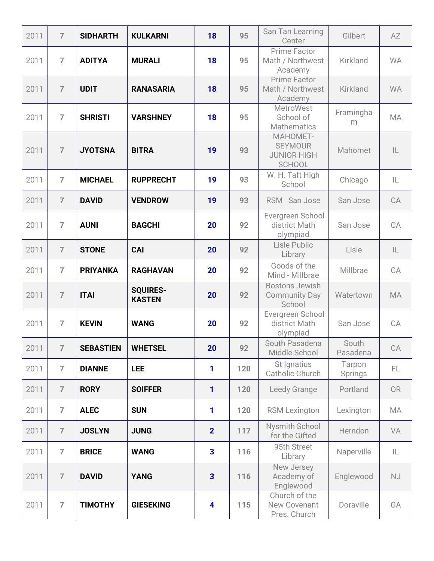| 2011 | $\overline{7}$ | <b>SIDHARTH</b>  | <b>KULKARNI</b>                  | 18                      | 95  | San Tan Learning<br>Center                                        | Gilbert           | AZ            |
|------|----------------|------------------|----------------------------------|-------------------------|-----|-------------------------------------------------------------------|-------------------|---------------|
| 2011 | $\overline{7}$ | <b>ADITYA</b>    | <b>MURALI</b>                    | 18                      | 95  | <b>Prime Factor</b><br>Math / Northwest<br>Academy                | Kirkland          | <b>WA</b>     |
| 2011 | $\overline{7}$ | <b>UDIT</b>      | <b>RANASARIA</b>                 | 18                      | 95  | <b>Prime Factor</b><br>Math / Northwest<br>Academy                | Kirkland          | <b>WA</b>     |
| 2011 | $\overline{7}$ | <b>SHRISTI</b>   | <b>VARSHNEY</b>                  | 18                      | 95  | <b>MetroWest</b><br>School of<br><b>Mathematics</b>               | Framingha<br>m    | <b>MA</b>     |
| 2011 | $\overline{7}$ | <b>JYOTSNA</b>   | <b>BITRA</b>                     | 19                      | 93  | MAHOMET-<br><b>SEYMOUR</b><br><b>JUNIOR HIGH</b><br><b>SCHOOL</b> | Mahomet           | $\mathsf{IL}$ |
| 2011 | $\overline{7}$ | <b>MICHAEL</b>   | <b>RUPPRECHT</b>                 | 19                      | 93  | W. H. Taft High<br>School                                         | Chicago           | IL            |
| 2011 | $\overline{7}$ | <b>DAVID</b>     | <b>VENDROW</b>                   | 19                      | 93  | RSM San Jose                                                      | San Jose          | CA            |
| 2011 | $\overline{7}$ | <b>AUNI</b>      | <b>BAGCHI</b>                    | 20                      | 92  | Evergreen School<br>district Math<br>olympiad                     | San Jose          | CA            |
| 2011 | $\overline{7}$ | <b>STONE</b>     | <b>CAI</b>                       | 20                      | 92  | Lisle Public<br>Library                                           | Lisle             | $\mathsf{IL}$ |
| 2011 | $\overline{7}$ | <b>PRIYANKA</b>  | <b>RAGHAVAN</b>                  | 20                      | 92  | Goods of the<br>Mind - Millbrae                                   | Millbrae          | CA            |
| 2011 | $\overline{7}$ | <b>ITAI</b>      | <b>SQUIRES-</b><br><b>KASTEN</b> | 20                      | 92  | <b>Bostons Jewish</b><br><b>Community Day</b><br>School           | Watertown         | <b>MA</b>     |
| 2011 | $\overline{7}$ | <b>KEVIN</b>     | <b>WANG</b>                      | 20                      | 92  | Evergreen School<br>district Math<br>olympiad                     | San Jose          | CA            |
| 2011 | $\overline{7}$ | <b>SEBASTIEN</b> | <b>WHETSEL</b>                   | 20                      | 92  | South Pasadena<br>Middle School                                   | South<br>Pasadena | CA            |
| 2011 | $\overline{7}$ | <b>DIANNE</b>    | <b>LEE</b>                       | 1                       | 120 | St Ignatius<br>Catholic Church                                    | Tarpon<br>Springs | FL.           |
| 2011 | $\overline{7}$ | <b>RORY</b>      | <b>SOIFFER</b>                   | 1                       | 120 | Leedy Grange                                                      | Portland          | <b>OR</b>     |
| 2011 | $\overline{7}$ | <b>ALEC</b>      | <b>SUN</b>                       | 1                       | 120 | <b>RSM Lexington</b>                                              | Lexington         | MA            |
| 2011 | $\overline{7}$ | <b>JOSLYN</b>    | <b>JUNG</b>                      | $\overline{2}$          | 117 | Nysmith School<br>for the Gifted                                  | Herndon           | VA            |
| 2011 | $\overline{7}$ | <b>BRICE</b>     | <b>WANG</b>                      | 3                       | 116 | 95th Street<br>Library                                            | Naperville        | IL            |
| 2011 | $\overline{7}$ | <b>DAVID</b>     | <b>YANG</b>                      | $\overline{\mathbf{3}}$ | 116 | New Jersey<br>Academy of<br>Englewood                             | Englewood         | <b>NJ</b>     |
| 2011 | $\overline{7}$ | <b>TIMOTHY</b>   | <b>GIESEKING</b>                 | $\overline{\mathbf{4}}$ | 115 | Church of the<br>New Covenant<br>Pres. Church                     | Doraville         | GA            |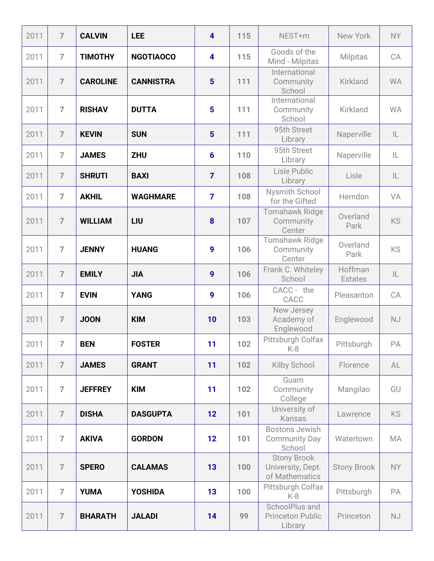| 2011 | $\overline{7}$ | <b>CALVIN</b>   | <b>LEE</b>       | $\overline{\mathbf{4}}$ | 115 | NEST+m                                                    | New York                  | <b>NY</b>     |
|------|----------------|-----------------|------------------|-------------------------|-----|-----------------------------------------------------------|---------------------------|---------------|
| 2011 | $\overline{ }$ | <b>TIMOTHY</b>  | <b>NGOTIAOCO</b> | $\overline{\mathbf{4}}$ | 115 | Goods of the<br>Mind - Milpitas                           | <b>Milpitas</b>           | CA            |
| 2011 | $\overline{7}$ | <b>CAROLINE</b> | <b>CANNISTRA</b> | $5\phantom{1}$          | 111 | International<br>Community<br>School                      | Kirkland                  | <b>WA</b>     |
| 2011 | $\overline{7}$ | <b>RISHAV</b>   | <b>DUTTA</b>     | 5                       | 111 | International<br>Community<br>School                      | Kirkland                  | <b>WA</b>     |
| 2011 | $\overline{7}$ | <b>KEVIN</b>    | <b>SUN</b>       | $5\phantom{1}$          | 111 | 95th Street<br>Library                                    | Naperville                | IL.           |
| 2011 | $\overline{7}$ | <b>JAMES</b>    | <b>ZHU</b>       | 6                       | 110 | 95th Street<br>Library                                    | Naperville                | IL            |
| 2011 | $\overline{7}$ | <b>SHRUTI</b>   | <b>BAXI</b>      | $\overline{7}$          | 108 | Lisle Public<br>Library                                   | Lisle                     | $\mathsf{IL}$ |
| 2011 | $\overline{7}$ | <b>AKHIL</b>    | <b>WAGHMARE</b>  | $\overline{7}$          | 108 | Nysmith School<br>for the Gifted                          | Herndon                   | VA            |
| 2011 | $\overline{7}$ | <b>WILLIAM</b>  | LIU              | 8                       | 107 | Tomahawk Ridge<br>Community<br>Center                     | Overland<br>Park          | <b>KS</b>     |
| 2011 | $\overline{7}$ | <b>JENNY</b>    | <b>HUANG</b>     | 9                       | 106 | Tomahawk Ridge<br>Community<br>Center                     | Overland<br>Park          | <b>KS</b>     |
| 2011 | $\overline{7}$ | <b>EMILY</b>    | <b>JIA</b>       | 9                       | 106 | Frank C. Whiteley<br>School                               | Hoffman<br><b>Estates</b> | $\mathsf{IL}$ |
| 2011 | $\overline{7}$ | <b>EVIN</b>     | <b>YANG</b>      | 9                       | 106 | CACC - the<br>CACC                                        | Pleasanton                | CA            |
| 2011 | $\overline{7}$ | <b>JOON</b>     | <b>KIM</b>       | 10                      | 103 | New Jersey<br>Academy of<br>Englewood                     | Englewood                 | <b>NJ</b>     |
| 2011 | $\overline{7}$ | <b>BEN</b>      | <b>FOSTER</b>    | 11                      | 102 | Pittsburgh Colfax<br>$K-8$                                | Pittsburgh                | PA            |
| 2011 | $\overline{7}$ | <b>JAMES</b>    | <b>GRANT</b>     | 11                      | 102 | <b>Kilby School</b>                                       | Florence                  | AL            |
| 2011 | $\overline{7}$ | <b>JEFFREY</b>  | <b>KIM</b>       | 11                      | 102 | Guam<br>Community<br>College                              | Mangilao                  | GU            |
| 2011 | $\overline{7}$ | <b>DISHA</b>    | <b>DASGUPTA</b>  | 12                      | 101 | University of<br>Kansas                                   | Lawrence                  | <b>KS</b>     |
| 2011 | $\overline{7}$ | <b>AKIVA</b>    | <b>GORDON</b>    | 12                      | 101 | <b>Bostons Jewish</b><br><b>Community Day</b><br>School   | Watertown                 | MA            |
| 2011 | $\overline{7}$ | <b>SPERO</b>    | <b>CALAMAS</b>   | 13                      | 100 | <b>Stony Brook</b><br>University, Dept.<br>of Mathematics | <b>Stony Brook</b>        | NY            |
| 2011 | $\overline{7}$ | <b>YUMA</b>     | <b>YOSHIDA</b>   | 13                      | 100 | Pittsburgh Colfax<br>$K-8$                                | Pittsburgh                | PA            |
| 2011 | $\overline{7}$ | <b>BHARATH</b>  | <b>JALADI</b>    | 14                      | 99  | SchoolPlus and<br><b>Princeton Public</b><br>Library      | Princeton                 | NJ            |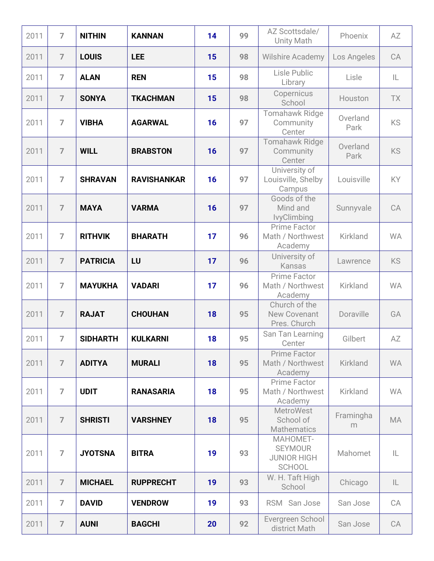| 2011 | $\overline{7}$ | <b>NITHIN</b>   | <b>KANNAN</b>      | 14 | 99 | AZ Scottsdale/<br>Unity Math                                      | Phoenix          | AZ        |
|------|----------------|-----------------|--------------------|----|----|-------------------------------------------------------------------|------------------|-----------|
| 2011 | $\overline{7}$ | <b>LOUIS</b>    | <b>LEE</b>         | 15 | 98 | <b>Wilshire Academy</b>                                           | Los Angeles      | CA        |
| 2011 | $\overline{7}$ | <b>ALAN</b>     | <b>REN</b>         | 15 | 98 | Lisle Public<br>Library                                           | Lisle            | IL        |
| 2011 | $\overline{7}$ | <b>SONYA</b>    | <b>TKACHMAN</b>    | 15 | 98 | Copernicus<br>School                                              | Houston          | TX        |
| 2011 | $\overline{7}$ | <b>VIBHA</b>    | <b>AGARWAL</b>     | 16 | 97 | Tomahawk Ridge<br>Community<br>Center                             | Overland<br>Park | KS        |
| 2011 | $\overline{7}$ | <b>WILL</b>     | <b>BRABSTON</b>    | 16 | 97 | <b>Tomahawk Ridge</b><br>Community<br>Center                      | Overland<br>Park | <b>KS</b> |
| 2011 | $\overline{7}$ | <b>SHRAVAN</b>  | <b>RAVISHANKAR</b> | 16 | 97 | University of<br>Louisville, Shelby<br>Campus                     | Louisville       | KY        |
| 2011 | $\overline{7}$ | <b>MAYA</b>     | <b>VARMA</b>       | 16 | 97 | Goods of the<br>Mind and<br><b>lvyClimbing</b>                    | Sunnyvale        | CA        |
| 2011 | $\overline{7}$ | <b>RITHVIK</b>  | <b>BHARATH</b>     | 17 | 96 | Prime Factor<br>Math / Northwest<br>Academy                       | Kirkland         | <b>WA</b> |
| 2011 | $\overline{7}$ | <b>PATRICIA</b> | LU                 | 17 | 96 | University of<br><b>Kansas</b>                                    | Lawrence         | KS        |
| 2011 | $\overline{7}$ | <b>MAYUKHA</b>  | <b>VADARI</b>      | 17 | 96 | Prime Factor<br>Math / Northwest<br>Academy                       | Kirkland         | <b>WA</b> |
| 2011 | $\overline{7}$ | <b>RAJAT</b>    | <b>CHOUHAN</b>     | 18 | 95 | Church of the<br>New Covenant<br>Pres. Church                     | Doraville        | GA        |
| 2011 | $\overline{7}$ | <b>SIDHARTH</b> | <b>KULKARNI</b>    | 18 | 95 | San Tan Learning<br>Center                                        | Gilbert          | AZ        |
| 2011 | $\overline{7}$ | <b>ADITYA</b>   | <b>MURALI</b>      | 18 | 95 | <b>Prime Factor</b><br>Math / Northwest<br>Academy                | Kirkland         | <b>WA</b> |
| 2011 | $\overline{7}$ | <b>UDIT</b>     | <b>RANASARIA</b>   | 18 | 95 | Prime Factor<br>Math / Northwest<br>Academy                       | Kirkland         | <b>WA</b> |
| 2011 | $\overline{7}$ | <b>SHRISTI</b>  | <b>VARSHNEY</b>    | 18 | 95 | <b>MetroWest</b><br>School of<br><b>Mathematics</b>               | Framingha<br>m   | <b>MA</b> |
| 2011 | $\overline{7}$ | <b>JYOTSNA</b>  | <b>BITRA</b>       | 19 | 93 | MAHOMET-<br><b>SEYMOUR</b><br><b>JUNIOR HIGH</b><br><b>SCHOOL</b> | Mahomet          | IL        |
| 2011 | $\overline{7}$ | <b>MICHAEL</b>  | <b>RUPPRECHT</b>   | 19 | 93 | W. H. Taft High<br>School                                         | Chicago          | IL        |
| 2011 | $\overline{7}$ | <b>DAVID</b>    | <b>VENDROW</b>     | 19 | 93 | RSM San Jose                                                      | San Jose         | CA        |
| 2011 | $\overline{7}$ | <b>AUNI</b>     | <b>BAGCHI</b>      | 20 | 92 | Evergreen School<br>district Math                                 | San Jose         | CA        |